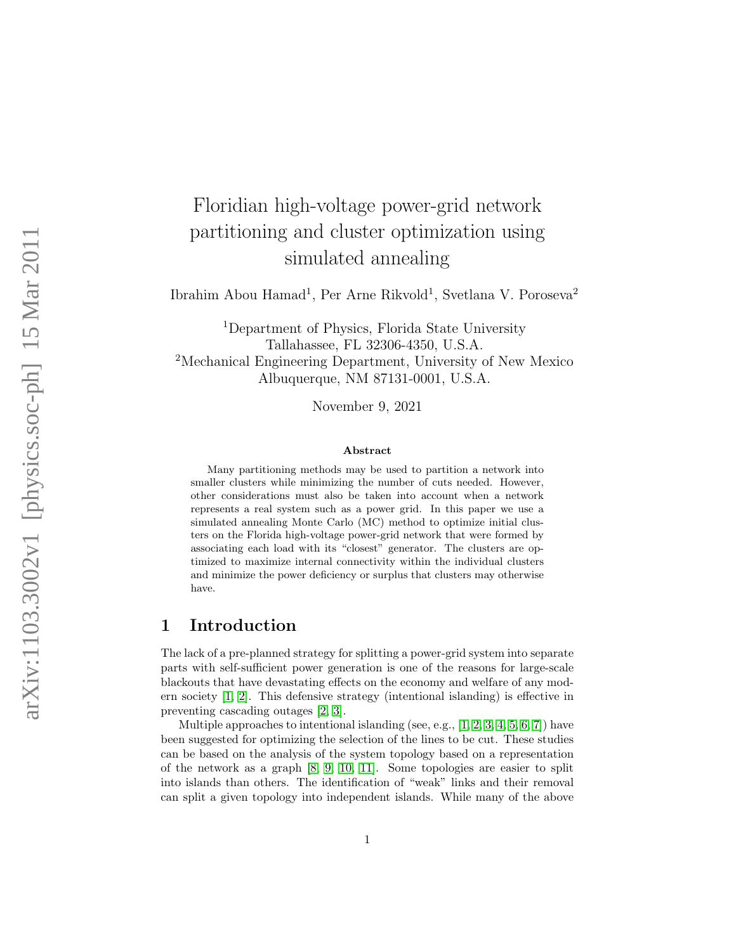# Floridian high-voltage power-grid network partitioning and cluster optimization using simulated annealing

Ibrahim Abou Hamad<sup>1</sup>, Per Arne Rikvold<sup>1</sup>, Svetlana V. Poroseva<sup>2</sup>

<sup>1</sup>Department of Physics, Florida State University Tallahassee, FL 32306-4350, U.S.A. <sup>2</sup>Mechanical Engineering Department, University of New Mexico Albuquerque, NM 87131-0001, U.S.A.

November 9, 2021

#### Abstract

Many partitioning methods may be used to partition a network into smaller clusters while minimizing the number of cuts needed. However, other considerations must also be taken into account when a network represents a real system such as a power grid. In this paper we use a simulated annealing Monte Carlo (MC) method to optimize initial clusters on the Florida high-voltage power-grid network that were formed by associating each load with its "closest" generator. The clusters are optimized to maximize internal connectivity within the individual clusters and minimize the power deficiency or surplus that clusters may otherwise have.

## 1 Introduction

The lack of a pre-planned strategy for splitting a power-grid system into separate parts with self-sufficient power generation is one of the reasons for large-scale blackouts that have devastating effects on the economy and welfare of any modern society [\[1,](#page-7-0) [2\]](#page-7-1). This defensive strategy (intentional islanding) is effective in preventing cascading outages [\[2,](#page-7-1) [3\]](#page-7-2).

Multiple approaches to intentional islanding (see, e.g.,  $[1, 2, 3, 4, 5, 6, 7]$  $[1, 2, 3, 4, 5, 6, 7]$  $[1, 2, 3, 4, 5, 6, 7]$  $[1, 2, 3, 4, 5, 6, 7]$  $[1, 2, 3, 4, 5, 6, 7]$  $[1, 2, 3, 4, 5, 6, 7]$  $[1, 2, 3, 4, 5, 6, 7]$ ) have been suggested for optimizing the selection of the lines to be cut. These studies can be based on the analysis of the system topology based on a representation of the network as a graph [\[8,](#page-7-7) [9,](#page-7-8) [10,](#page-7-9) [11\]](#page-8-0). Some topologies are easier to split into islands than others. The identification of "weak" links and their removal can split a given topology into independent islands. While many of the above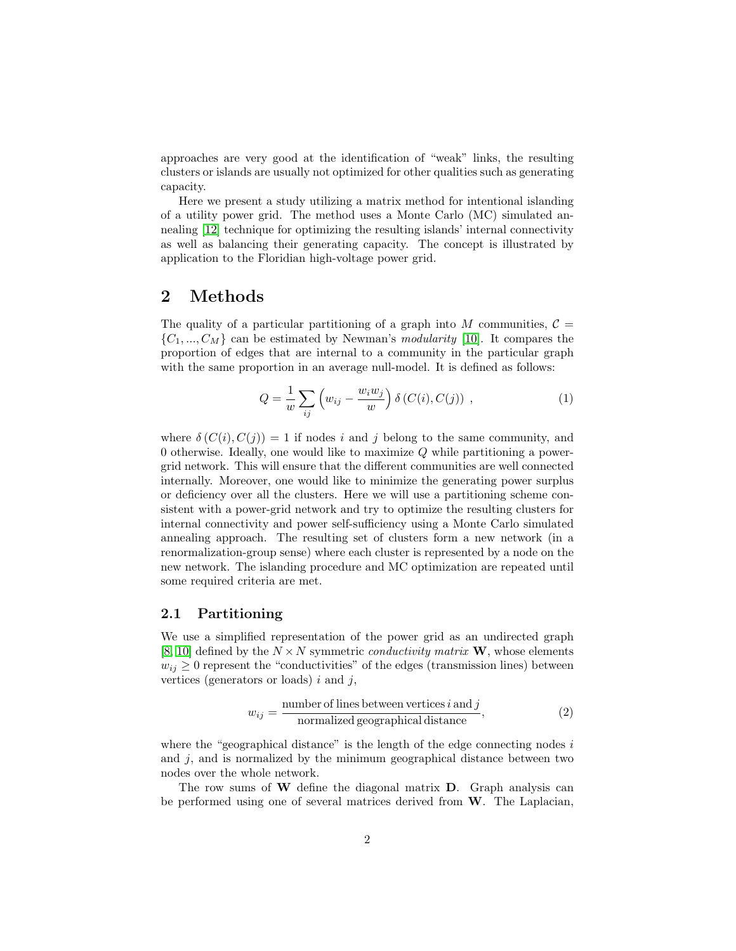approaches are very good at the identification of "weak" links, the resulting clusters or islands are usually not optimized for other qualities such as generating capacity.

Here we present a study utilizing a matrix method for intentional islanding of a utility power grid. The method uses a Monte Carlo (MC) simulated annealing [\[12\]](#page-8-1) technique for optimizing the resulting islands' internal connectivity as well as balancing their generating capacity. The concept is illustrated by application to the Floridian high-voltage power grid.

## 2 Methods

The quality of a particular partitioning of a graph into M communities,  $\mathcal{C} =$  $\{C_1, ..., C_M\}$  can be estimated by Newman's modularity [\[10\]](#page-7-9). It compares the proportion of edges that are internal to a community in the particular graph with the same proportion in an average null-model. It is defined as follows:

$$
Q = \frac{1}{w} \sum_{ij} \left( w_{ij} - \frac{w_i w_j}{w} \right) \delta \left( C(i), C(j) \right) , \qquad (1)
$$

where  $\delta(C(i), C(j)) = 1$  if nodes i and j belong to the same community, and 0 otherwise. Ideally, one would like to maximize Q while partitioning a powergrid network. This will ensure that the different communities are well connected internally. Moreover, one would like to minimize the generating power surplus or deficiency over all the clusters. Here we will use a partitioning scheme consistent with a power-grid network and try to optimize the resulting clusters for internal connectivity and power self-sufficiency using a Monte Carlo simulated annealing approach. The resulting set of clusters form a new network (in a renormalization-group sense) where each cluster is represented by a node on the new network. The islanding procedure and MC optimization are repeated until some required criteria are met.

### 2.1 Partitioning

We use a simplified representation of the power grid as an undirected graph [\[8,](#page-7-7) [10\]](#page-7-9) defined by the  $N \times N$  symmetric *conductivity matrix* **W**, whose elements  $w_{ij} \geq 0$  represent the "conductivities" of the edges (transmission lines) between vertices (generators or loads)  $i$  and  $j$ ,

<span id="page-1-0"></span>
$$
w_{ij} = \frac{\text{number of lines between vertices } i \text{ and } j}{\text{normalized geographical distance}},\tag{2}
$$

where the "geographical distance" is the length of the edge connecting nodes  $i$ and  $j$ , and is normalized by the minimum geographical distance between two nodes over the whole network.

The row sums of W define the diagonal matrix D. Graph analysis can be performed using one of several matrices derived from W. The Laplacian,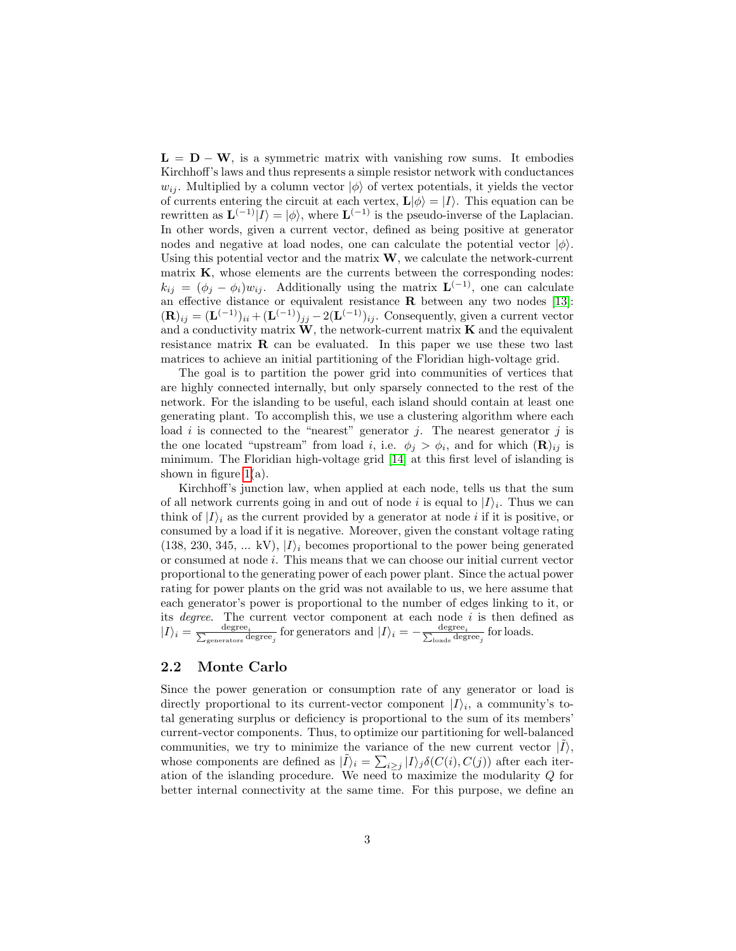$L = D - W$ , is a symmetric matrix with vanishing row sums. It embodies Kirchhoff's laws and thus represents a simple resistor network with conductances  $w_{ij}$ . Multiplied by a column vector  $|\phi\rangle$  of vertex potentials, it yields the vector of currents entering the circuit at each vertex,  $\mathbf{L}|\phi\rangle = |I\rangle$ . This equation can be rewritten as  $\mathbf{L}^{(-1)}|I\rangle = |\phi\rangle$ , where  $\mathbf{L}^{(-1)}$  is the pseudo-inverse of the Laplacian. In other words, given a current vector, defined as being positive at generator nodes and negative at load nodes, one can calculate the potential vector  $|\phi\rangle$ . Using this potential vector and the matrix  $W$ , we calculate the network-current matrix  $K$ , whose elements are the currents between the corresponding nodes:  $k_{ij} = (\phi_j - \phi_i) w_{ij}$ . Additionally using the matrix  $\mathbf{L}^{(-1)}$ , one can calculate an effective distance or equivalent resistance  $\bf{R}$  between any two nodes [\[13\]](#page-8-2):  $(\mathbf{R})_{ij} = (\mathbf{L}^{(-1)})_{ii} + (\mathbf{L}^{(-1)})_{jj} - 2(\mathbf{L}^{(-1)})_{ij}$ . Consequently, given a current vector and a conductivity matrix  $W$ , the network-current matrix  $K$  and the equivalent resistance matrix R can be evaluated. In this paper we use these two last matrices to achieve an initial partitioning of the Floridian high-voltage grid.

The goal is to partition the power grid into communities of vertices that are highly connected internally, but only sparsely connected to the rest of the network. For the islanding to be useful, each island should contain at least one generating plant. To accomplish this, we use a clustering algorithm where each load  $i$  is connected to the "nearest" generator  $j$ . The nearest generator  $j$  is the one located "upstream" from load *i*, i.e.  $\phi_j > \phi_i$ , and for which  $(\mathbf{R})_{ij}$  is minimum. The Floridian high-voltage grid [\[14\]](#page-8-3) at this first level of islanding is shown in figure  $1(a)$ .

Kirchhoff's junction law, when applied at each node, tells us that the sum of all network currents going in and out of node i is equal to  $|I\rangle_i$ . Thus we can think of  $|I\rangle_i$  as the current provided by a generator at node i if it is positive, or consumed by a load if it is negative. Moreover, given the constant voltage rating  $(138, 230, 345, \dots kV), |I\rangle_i$  becomes proportional to the power being generated or consumed at node i. This means that we can choose our initial current vector proportional to the generating power of each power plant. Since the actual power rating for power plants on the grid was not available to us, we here assume that each generator's power is proportional to the number of edges linking to it, or its *degree*. The current vector component at each node  $i$  is then defined as  $|I\rangle_i = \frac{\text{degree}_i}{\sum_{\text{generators}} \text{degree}_j}$  for generators and  $|I\rangle_i = -\frac{\text{degree}_i}{\sum_{\text{loads}} \text{degree}_j}$  for loads.

#### 2.2 Monte Carlo

Since the power generation or consumption rate of any generator or load is directly proportional to its current-vector component  $|I\rangle_i$ , a community's total generating surplus or deficiency is proportional to the sum of its members' current-vector components. Thus, to optimize our partitioning for well-balanced communities, we try to minimize the variance of the new current vector  $|\tilde{I}\rangle$ , whose components are defined as  $|\tilde{I}\rangle_i = \sum_{i\geq j} |I\rangle_j \delta(C(i), C(j))$  after each iteration of the islanding procedure. We need to maximize the modularity  $Q$  for better internal connectivity at the same time. For this purpose, we define an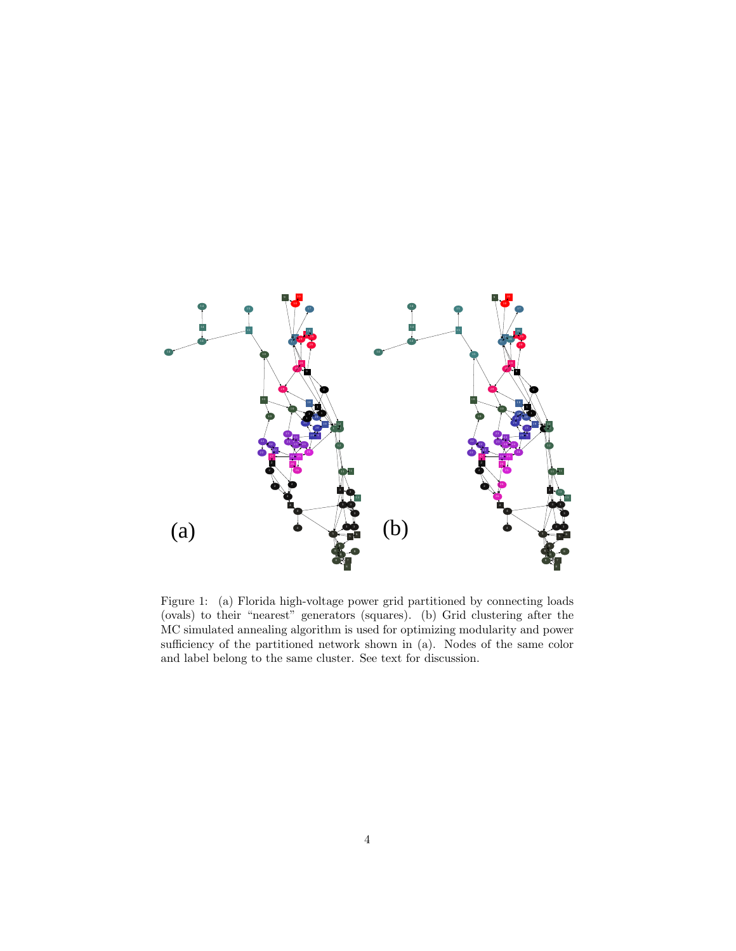

<span id="page-3-0"></span>Figure 1: (a) Florida high-voltage power grid partitioned by connecting loads (ovals) to their "nearest" generators (squares). (b) Grid clustering after the MC simulated annealing algorithm is used for optimizing modularity and power sufficiency of the partitioned network shown in (a). Nodes of the same color and label belong to the same cluster. See text for discussion.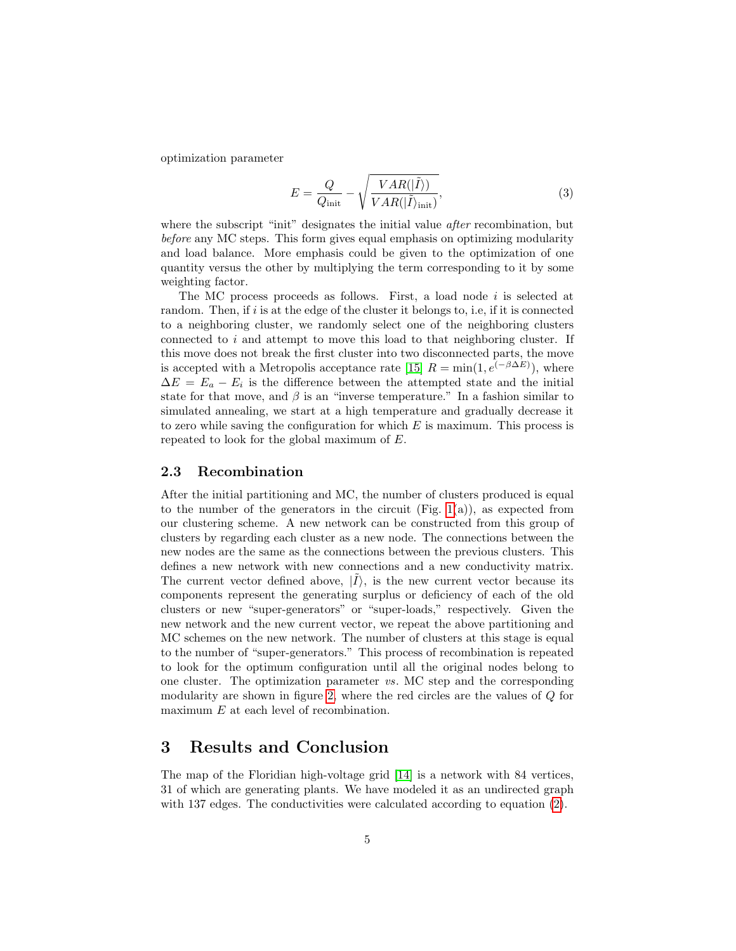optimization parameter

$$
E = \frac{Q}{Q_{\text{init}}} - \sqrt{\frac{VAR(|\tilde{I}\rangle)}{VAR(|\tilde{I}\rangle_{\text{init}})}},
$$
\n(3)

where the subscript "init" designates the initial value *after* recombination, but before any MC steps. This form gives equal emphasis on optimizing modularity and load balance. More emphasis could be given to the optimization of one quantity versus the other by multiplying the term corresponding to it by some weighting factor.

The MC process proceeds as follows. First, a load node  $i$  is selected at random. Then, if  $i$  is at the edge of the cluster it belongs to, i.e, if it is connected to a neighboring cluster, we randomly select one of the neighboring clusters connected to  $i$  and attempt to move this load to that neighboring cluster. If this move does not break the first cluster into two disconnected parts, the move is accepted with a Metropolis acceptance rate [\[15\]](#page-8-4)  $R = \min(1, e^{(-\beta \Delta E)})$ , where  $\Delta E = E_a - E_i$  is the difference between the attempted state and the initial state for that move, and  $\beta$  is an "inverse temperature." In a fashion similar to simulated annealing, we start at a high temperature and gradually decrease it to zero while saving the configuration for which  $E$  is maximum. This process is repeated to look for the global maximum of E.

#### 2.3 Recombination

After the initial partitioning and MC, the number of clusters produced is equal to the number of the generators in the circuit (Fig. [1\(](#page-3-0)a)), as expected from our clustering scheme. A new network can be constructed from this group of clusters by regarding each cluster as a new node. The connections between the new nodes are the same as the connections between the previous clusters. This defines a new network with new connections and a new conductivity matrix. The current vector defined above,  $|\tilde{I}\rangle$ , is the new current vector because its components represent the generating surplus or deficiency of each of the old clusters or new "super-generators" or "super-loads," respectively. Given the new network and the new current vector, we repeat the above partitioning and MC schemes on the new network. The number of clusters at this stage is equal to the number of "super-generators." This process of recombination is repeated to look for the optimum configuration until all the original nodes belong to one cluster. The optimization parameter vs. MC step and the corresponding modularity are shown in figure [2,](#page-5-0) where the red circles are the values of Q for maximum E at each level of recombination.

## 3 Results and Conclusion

The map of the Floridian high-voltage grid [\[14\]](#page-8-3) is a network with 84 vertices, 31 of which are generating plants. We have modeled it as an undirected graph with 137 edges. The conductivities were calculated according to equation  $(2)$ .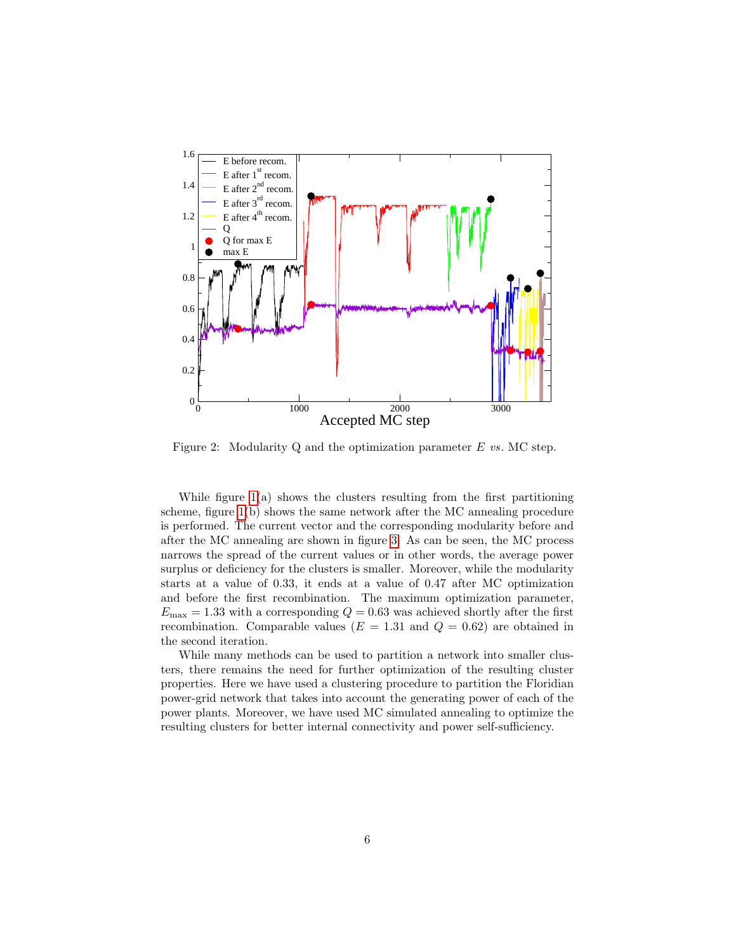

<span id="page-5-0"></span>Figure 2: Modularity Q and the optimization parameter  $E$  vs. MC step.

While figure  $1(a)$  shows the clusters resulting from the first partitioning scheme, figure [1\(](#page-3-0)b) shows the same network after the MC annealing procedure is performed. The current vector and the corresponding modularity before and after the MC annealing are shown in figure [3.](#page-6-0) As can be seen, the MC process narrows the spread of the current values or in other words, the average power surplus or deficiency for the clusters is smaller. Moreover, while the modularity starts at a value of 0.33, it ends at a value of 0.47 after MC optimization and before the first recombination. The maximum optimization parameter,  $E_{\text{max}} = 1.33$  with a corresponding  $Q = 0.63$  was achieved shortly after the first recombination. Comparable values ( $E = 1.31$  and  $Q = 0.62$ ) are obtained in the second iteration.

While many methods can be used to partition a network into smaller clusters, there remains the need for further optimization of the resulting cluster properties. Here we have used a clustering procedure to partition the Floridian power-grid network that takes into account the generating power of each of the power plants. Moreover, we have used MC simulated annealing to optimize the resulting clusters for better internal connectivity and power self-sufficiency.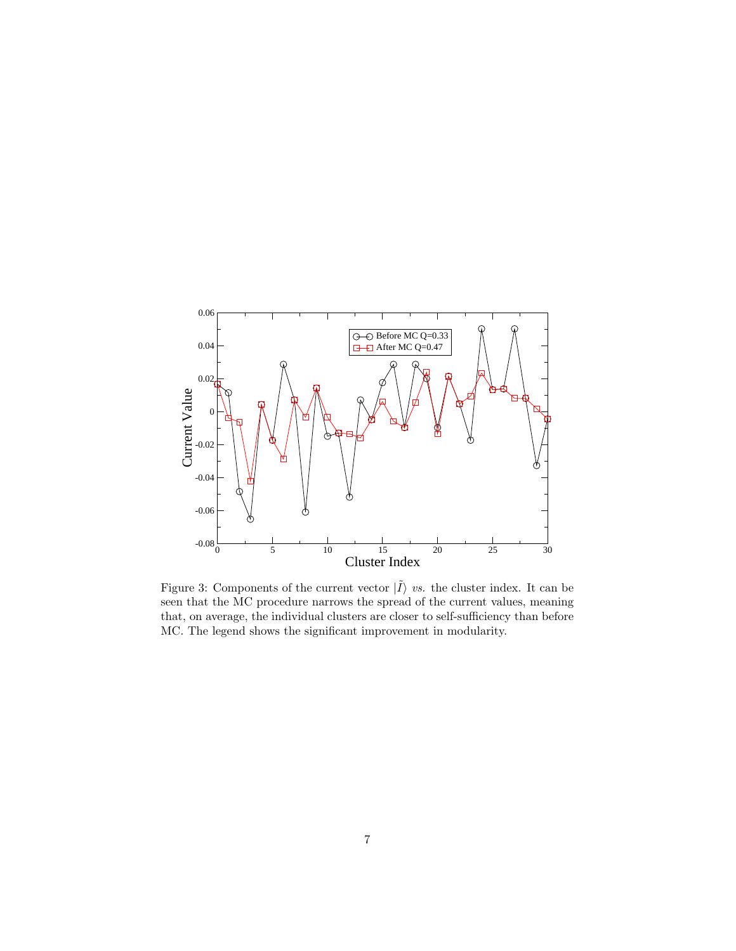

<span id="page-6-0"></span>Figure 3: Components of the current vector  $|\tilde{I}\rangle$  vs. the cluster index. It can be seen that the MC procedure narrows the spread of the current values, meaning that, on average, the individual clusters are closer to self-sufficiency than before MC. The legend shows the significant improvement in modularity.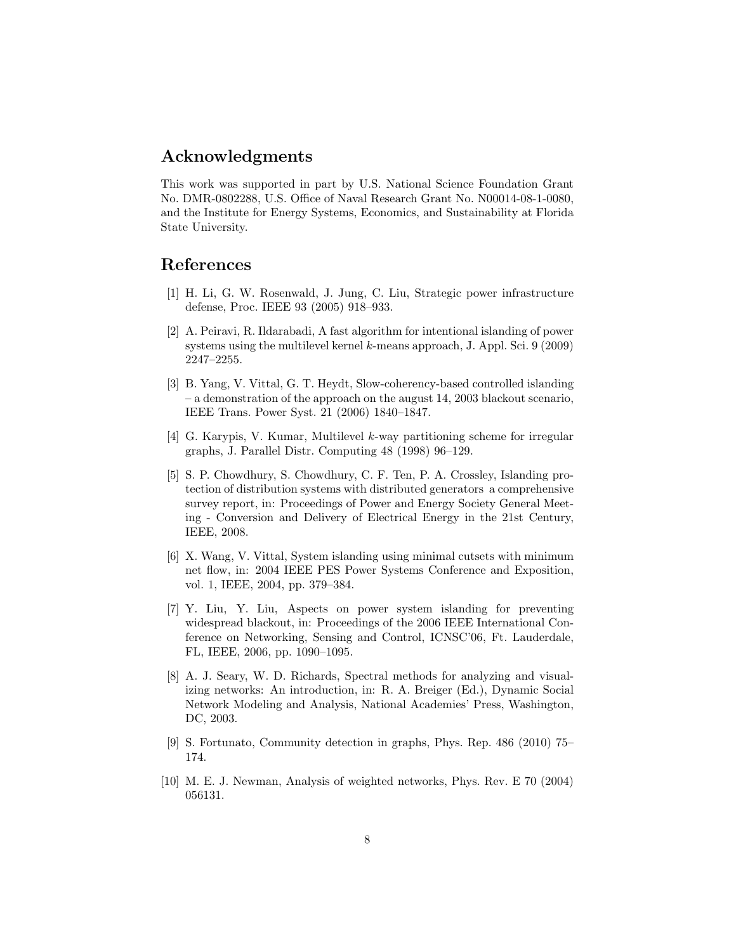## Acknowledgments

This work was supported in part by U.S. National Science Foundation Grant No. DMR-0802288, U.S. Office of Naval Research Grant No. N00014-08-1-0080, and the Institute for Energy Systems, Economics, and Sustainability at Florida State University.

## References

- <span id="page-7-0"></span>[1] H. Li, G. W. Rosenwald, J. Jung, C. Liu, Strategic power infrastructure defense, Proc. IEEE 93 (2005) 918–933.
- <span id="page-7-1"></span>[2] A. Peiravi, R. Ildarabadi, A fast algorithm for intentional islanding of power systems using the multilevel kernel k-means approach, J. Appl. Sci. 9 (2009) 2247–2255.
- <span id="page-7-2"></span>[3] B. Yang, V. Vittal, G. T. Heydt, Slow-coherency-based controlled islanding – a demonstration of the approach on the august 14, 2003 blackout scenario, IEEE Trans. Power Syst. 21 (2006) 1840–1847.
- <span id="page-7-3"></span>[4] G. Karypis, V. Kumar, Multilevel k-way partitioning scheme for irregular graphs, J. Parallel Distr. Computing 48 (1998) 96–129.
- <span id="page-7-4"></span>[5] S. P. Chowdhury, S. Chowdhury, C. F. Ten, P. A. Crossley, Islanding protection of distribution systems with distributed generators a comprehensive survey report, in: Proceedings of Power and Energy Society General Meeting - Conversion and Delivery of Electrical Energy in the 21st Century, IEEE, 2008.
- <span id="page-7-5"></span>[6] X. Wang, V. Vittal, System islanding using minimal cutsets with minimum net flow, in: 2004 IEEE PES Power Systems Conference and Exposition, vol. 1, IEEE, 2004, pp. 379–384.
- <span id="page-7-6"></span>[7] Y. Liu, Y. Liu, Aspects on power system islanding for preventing widespread blackout, in: Proceedings of the 2006 IEEE International Conference on Networking, Sensing and Control, ICNSC'06, Ft. Lauderdale, FL, IEEE, 2006, pp. 1090–1095.
- <span id="page-7-7"></span>[8] A. J. Seary, W. D. Richards, Spectral methods for analyzing and visualizing networks: An introduction, in: R. A. Breiger (Ed.), Dynamic Social Network Modeling and Analysis, National Academies' Press, Washington, DC, 2003.
- <span id="page-7-8"></span>[9] S. Fortunato, Community detection in graphs, Phys. Rep. 486 (2010) 75– 174.
- <span id="page-7-9"></span>[10] M. E. J. Newman, Analysis of weighted networks, Phys. Rev. E 70 (2004) 056131.